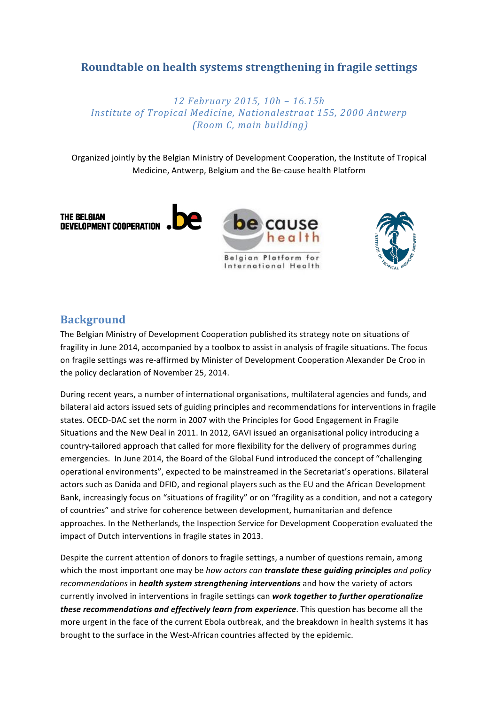# **Roundtable on health systems strengthening in fragile settings**

*12 February 2015, 10h – 16.15h Institute of Tropical Medicine, Nationalestraat 155, 2000 Antwerp (Room C, main building)*

Organized jointly by the Belgian Ministry of Development Cooperation, the Institute of Tropical Medicine, Antwerp, Belgium and the Be-cause health Platform



## **Background**

The Belgian Ministry of Development Cooperation published its strategy note on situations of fragility in June 2014, accompanied by a toolbox to assist in analysis of fragile situations. The focus on fragile settings was re-affirmed by Minister of Development Cooperation Alexander De Croo in the policy declaration of November 25, 2014.

During recent years, a number of international organisations, multilateral agencies and funds, and bilateral aid actors issued sets of guiding principles and recommendations for interventions in fragile states. OECD-DAC set the norm in 2007 with the Principles for Good Engagement in Fragile Situations and the New Deal in 2011. In 2012, GAVI issued an organisational policy introducing a country-tailored approach that called for more flexibility for the delivery of programmes during emergencies. In June 2014, the Board of the Global Fund introduced the concept of "challenging operational environments", expected to be mainstreamed in the Secretariat's operations. Bilateral actors such as Danida and DFID, and regional players such as the EU and the African Development Bank, increasingly focus on "situations of fragility" or on "fragility as a condition, and not a category of countries" and strive for coherence between development, humanitarian and defence approaches. In the Netherlands, the Inspection Service for Development Cooperation evaluated the impact of Dutch interventions in fragile states in 2013.

Despite the current attention of donors to fragile settings, a number of questions remain, among which the most important one may be *how actors* can **translate these guiding principles** and policy *recommendations* in *health system strengthening interventions* and how the variety of actors currently involved in interventions in fragile settings can *work together to further operationalize these recommendations and effectively learn from experience*. This question has become all the more urgent in the face of the current Ebola outbreak, and the breakdown in health systems it has brought to the surface in the West-African countries affected by the epidemic.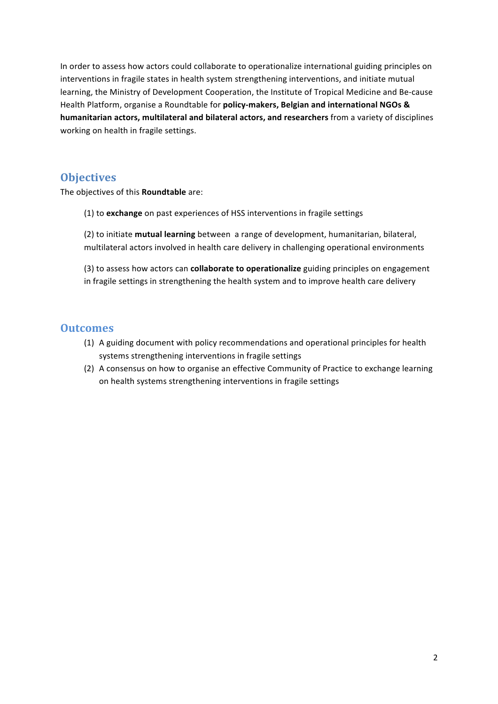In order to assess how actors could collaborate to operationalize international guiding principles on interventions in fragile states in health system strengthening interventions, and initiate mutual learning, the Ministry of Development Cooperation, the Institute of Tropical Medicine and Be-cause Health Platform, organise a Roundtable for policy-makers, Belgian and international NGOs & **humanitarian actors, multilateral and bilateral actors, and researchers** from a variety of disciplines working on health in fragile settings.

## **Objectives**

The objectives of this **Roundtable** are:

(1) to **exchange** on past experiences of HSS interventions in fragile settings

(2) to initiate **mutual learning** between a range of development, humanitarian, bilateral, multilateral actors involved in health care delivery in challenging operational environments

(3) to assess how actors can **collaborate to operationalize** guiding principles on engagement in fragile settings in strengthening the health system and to improve health care delivery

## **Outcomes**

- (1) A guiding document with policy recommendations and operational principles for health systems strengthening interventions in fragile settings
- (2) A consensus on how to organise an effective Community of Practice to exchange learning on health systems strengthening interventions in fragile settings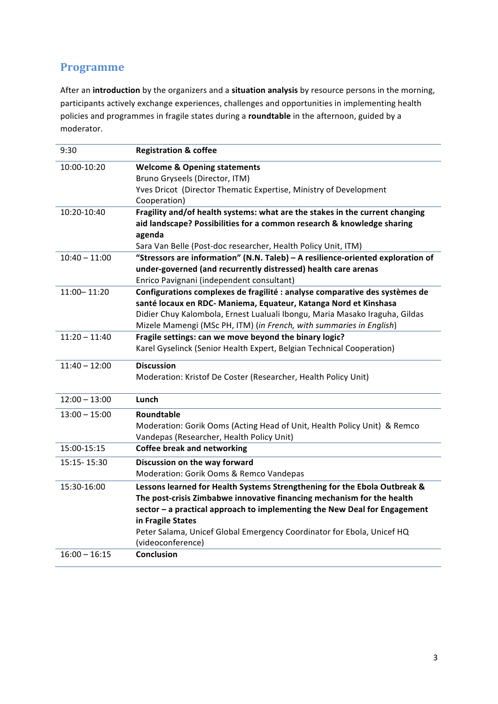# **Programme**

After an introduction by the organizers and a situation analysis by resource persons in the morning, participants actively exchange experiences, challenges and opportunities in implementing health policies and programmes in fragile states during a roundtable in the afternoon, guided by a moderator.

| 9:30            | <b>Registration &amp; coffee</b>                                                                                                                                                                                                  |
|-----------------|-----------------------------------------------------------------------------------------------------------------------------------------------------------------------------------------------------------------------------------|
| 10:00-10:20     | <b>Welcome &amp; Opening statements</b>                                                                                                                                                                                           |
|                 | Bruno Gryseels (Director, ITM)                                                                                                                                                                                                    |
|                 | Yves Dricot (Director Thematic Expertise, Ministry of Development                                                                                                                                                                 |
|                 | Cooperation)                                                                                                                                                                                                                      |
| 10:20-10:40     | Fragility and/of health systems: what are the stakes in the current changing<br>aid landscape? Possibilities for a common research & knowledge sharing<br>agenda<br>Sara Van Belle (Post-doc researcher, Health Policy Unit, ITM) |
| $10:40 - 11:00$ | "Stressors are information" (N.N. Taleb) - A resilience-oriented exploration of                                                                                                                                                   |
|                 | under-governed (and recurrently distressed) health care arenas                                                                                                                                                                    |
|                 | Enrico Pavignani (independent consultant)                                                                                                                                                                                         |
| 11:00-11:20     | Configurations complexes de fragilité : analyse comparative des systèmes de                                                                                                                                                       |
|                 | santé locaux en RDC- Maniema, Equateur, Katanga Nord et Kinshasa                                                                                                                                                                  |
|                 | Didier Chuy Kalombola, Ernest Lualuali Ibongu, Maria Masako Iraguha, Gildas                                                                                                                                                       |
|                 | Mizele Mamengi (MSc PH, ITM) (in French, with summaries in English)                                                                                                                                                               |
| $11:20 - 11:40$ | Fragile settings: can we move beyond the binary logic?                                                                                                                                                                            |
|                 | Karel Gyselinck (Senior Health Expert, Belgian Technical Cooperation)                                                                                                                                                             |
| $11:40 - 12:00$ | <b>Discussion</b>                                                                                                                                                                                                                 |
|                 | Moderation: Kristof De Coster (Researcher, Health Policy Unit)                                                                                                                                                                    |
| $12:00 - 13:00$ | Lunch                                                                                                                                                                                                                             |
| $13:00 - 15:00$ | Roundtable                                                                                                                                                                                                                        |
|                 | Moderation: Gorik Ooms (Acting Head of Unit, Health Policy Unit) & Remco                                                                                                                                                          |
|                 | Vandepas (Researcher, Health Policy Unit)                                                                                                                                                                                         |
| 15:00-15:15     | <b>Coffee break and networking</b>                                                                                                                                                                                                |
| 15:15-15:30     | Discussion on the way forward                                                                                                                                                                                                     |
|                 | Moderation: Gorik Ooms & Remco Vandepas                                                                                                                                                                                           |
| 15:30-16:00     | Lessons learned for Health Systems Strengthening for the Ebola Outbreak &                                                                                                                                                         |
|                 | The post-crisis Zimbabwe innovative financing mechanism for the health                                                                                                                                                            |
|                 | sector - a practical approach to implementing the New Deal for Engagement                                                                                                                                                         |
|                 | in Fragile States                                                                                                                                                                                                                 |
|                 | Peter Salama, Unicef Global Emergency Coordinator for Ebola, Unicef HQ                                                                                                                                                            |
|                 | (videoconference)                                                                                                                                                                                                                 |
| $16:00 - 16:15$ | <b>Conclusion</b>                                                                                                                                                                                                                 |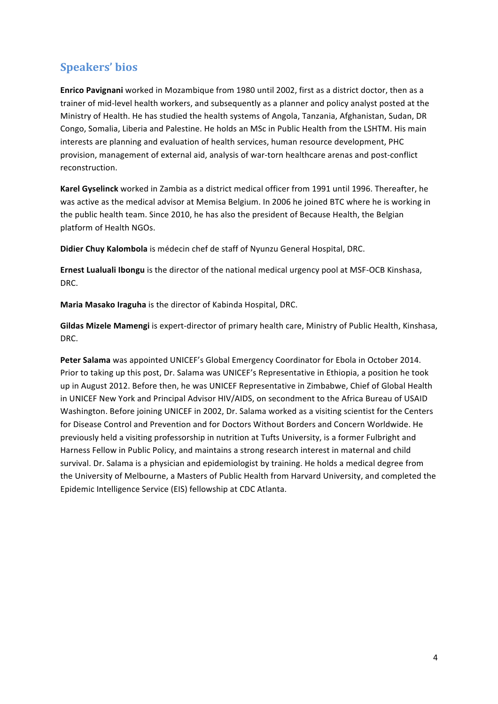# **Speakers' bios**

**Enrico Pavignani** worked in Mozambique from 1980 until 2002, first as a district doctor, then as a trainer of mid-level health workers, and subsequently as a planner and policy analyst posted at the Ministry of Health. He has studied the health systems of Angola, Tanzania, Afghanistan, Sudan, DR Congo, Somalia, Liberia and Palestine. He holds an MSc in Public Health from the LSHTM. His main interests are planning and evaluation of health services, human resource development, PHC provision, management of external aid, analysis of war-torn healthcare arenas and post-conflict reconstruction.

Karel Gyselinck worked in Zambia as a district medical officer from 1991 until 1996. Thereafter, he was active as the medical advisor at Memisa Belgium. In 2006 he joined BTC where he is working in the public health team. Since 2010, he has also the president of Because Health, the Belgian platform of Health NGOs.

**Didier Chuy Kalombola** is médecin chef de staff of Nyunzu General Hospital, DRC.

**Ernest Lualuali Ibongu** is the director of the national medical urgency pool at MSF-OCB Kinshasa, DRC.

**Maria Masako Iraguha** is the director of Kabinda Hospital, DRC.

**Gildas Mizele Mamengi** is expert-director of primary health care, Ministry of Public Health, Kinshasa, DRC.

Peter Salama was appointed UNICEF's Global Emergency Coordinator for Ebola in October 2014. Prior to taking up this post, Dr. Salama was UNICEF's Representative in Ethiopia, a position he took up in August 2012. Before then, he was UNICEF Representative in Zimbabwe, Chief of Global Health in UNICEF New York and Principal Advisor HIV/AIDS, on secondment to the Africa Bureau of USAID Washington. Before joining UNICEF in 2002, Dr. Salama worked as a visiting scientist for the Centers for Disease Control and Prevention and for Doctors Without Borders and Concern Worldwide. He previously held a visiting professorship in nutrition at Tufts University, is a former Fulbright and Harness Fellow in Public Policy, and maintains a strong research interest in maternal and child survival. Dr. Salama is a physician and epidemiologist by training. He holds a medical degree from the University of Melbourne, a Masters of Public Health from Harvard University, and completed the Epidemic Intelligence Service (EIS) fellowship at CDC Atlanta.